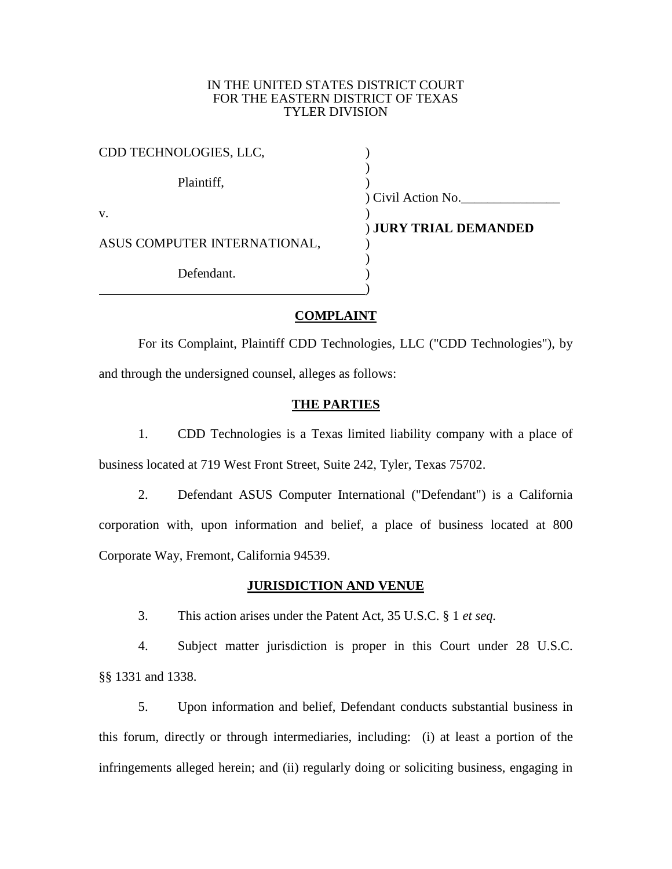## IN THE UNITED STATES DISTRICT COURT FOR THE EASTERN DISTRICT OF TEXAS TYLER DIVISION

| CDD TECHNOLOGIES, LLC,       |                       |
|------------------------------|-----------------------|
| Plaintiff,                   |                       |
|                              | ) Civil Action No.    |
| V.                           |                       |
|                              | ) JURY TRIAL DEMANDED |
| ASUS COMPUTER INTERNATIONAL, |                       |
|                              |                       |
| Defendant.                   |                       |
|                              |                       |

## **COMPLAINT**

For its Complaint, Plaintiff CDD Technologies, LLC ("CDD Technologies"), by and through the undersigned counsel, alleges as follows:

## **THE PARTIES**

1. CDD Technologies is a Texas limited liability company with a place of business located at 719 West Front Street, Suite 242, Tyler, Texas 75702.

2. Defendant ASUS Computer International ("Defendant") is a California corporation with, upon information and belief, a place of business located at 800 Corporate Way, Fremont, California 94539.

## **JURISDICTION AND VENUE**

3. This action arises under the Patent Act, 35 U.S.C. § 1 *et seq.*

4. Subject matter jurisdiction is proper in this Court under 28 U.S.C. §§ 1331 and 1338.

5. Upon information and belief, Defendant conducts substantial business in this forum, directly or through intermediaries, including: (i) at least a portion of the infringements alleged herein; and (ii) regularly doing or soliciting business, engaging in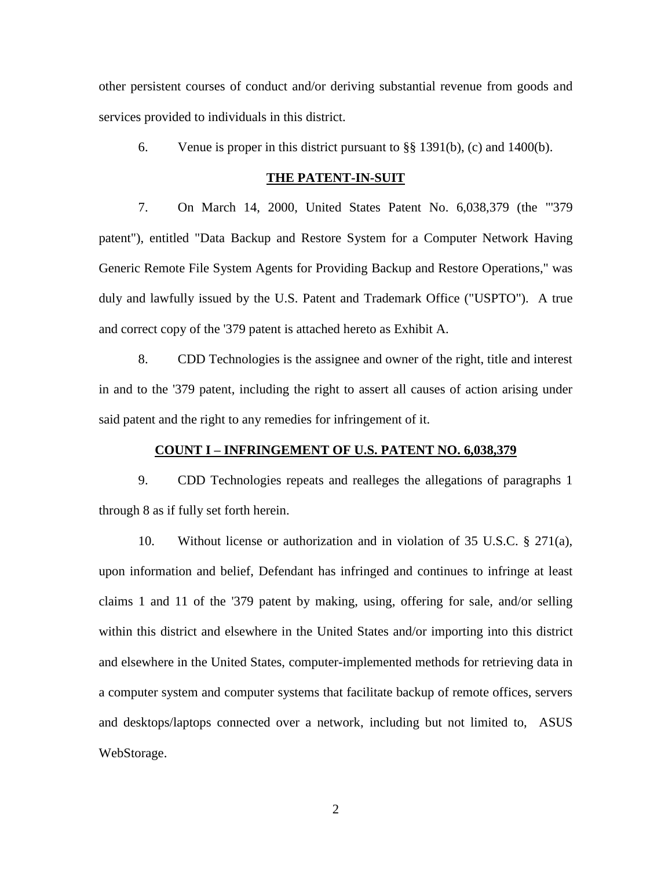other persistent courses of conduct and/or deriving substantial revenue from goods and services provided to individuals in this district.

6. Venue is proper in this district pursuant to  $\S$ § 1391(b), (c) and 1400(b).

### **THE PATENT-IN-SUIT**

7. On March 14, 2000, United States Patent No. 6,038,379 (the "'379 patent"), entitled "Data Backup and Restore System for a Computer Network Having Generic Remote File System Agents for Providing Backup and Restore Operations," was duly and lawfully issued by the U.S. Patent and Trademark Office ("USPTO"). A true and correct copy of the '379 patent is attached hereto as Exhibit A.

8. CDD Technologies is the assignee and owner of the right, title and interest in and to the '379 patent, including the right to assert all causes of action arising under said patent and the right to any remedies for infringement of it.

#### **COUNT I – INFRINGEMENT OF U.S. PATENT NO. 6,038,379**

9. CDD Technologies repeats and realleges the allegations of paragraphs 1 through 8 as if fully set forth herein.

10. Without license or authorization and in violation of 35 U.S.C. § 271(a), upon information and belief, Defendant has infringed and continues to infringe at least claims 1 and 11 of the '379 patent by making, using, offering for sale, and/or selling within this district and elsewhere in the United States and/or importing into this district and elsewhere in the United States, computer-implemented methods for retrieving data in a computer system and computer systems that facilitate backup of remote offices, servers and desktops/laptops connected over a network, including but not limited to, ASUS WebStorage.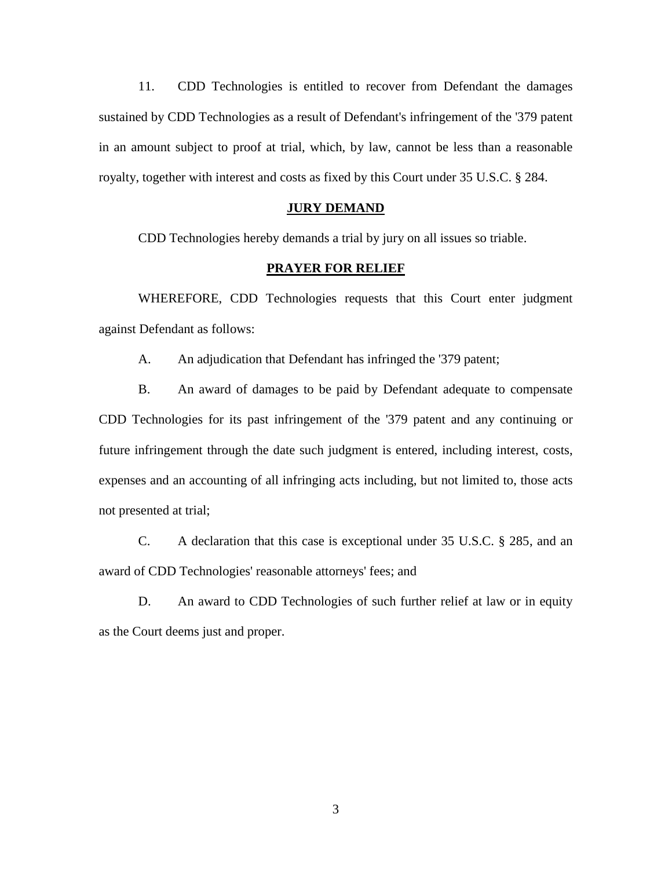11. CDD Technologies is entitled to recover from Defendant the damages sustained by CDD Technologies as a result of Defendant's infringement of the '379 patent in an amount subject to proof at trial, which, by law, cannot be less than a reasonable royalty, together with interest and costs as fixed by this Court under 35 U.S.C. § 284.

## **JURY DEMAND**

CDD Technologies hereby demands a trial by jury on all issues so triable.

# **PRAYER FOR RELIEF**

WHEREFORE, CDD Technologies requests that this Court enter judgment against Defendant as follows:

A. An adjudication that Defendant has infringed the '379 patent;

B. An award of damages to be paid by Defendant adequate to compensate CDD Technologies for its past infringement of the '379 patent and any continuing or future infringement through the date such judgment is entered, including interest, costs, expenses and an accounting of all infringing acts including, but not limited to, those acts not presented at trial;

C. A declaration that this case is exceptional under 35 U.S.C. § 285, and an award of CDD Technologies' reasonable attorneys' fees; and

D. An award to CDD Technologies of such further relief at law or in equity as the Court deems just and proper.

3